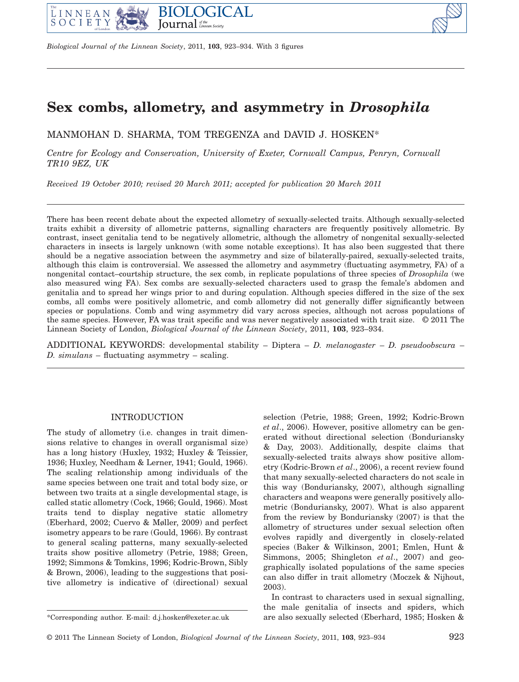



*Biological Journal of the Linnean Society*, 2011, **103**, 923–934. With 3 figures

# **Sex combs, allometry, and asymmetry in** *Drosophila*

MANMOHAN D. SHARMA, TOM TREGENZA and DAVID J. HOSKEN\*

*Centre for Ecology and Conservation, University of Exeter, Cornwall Campus, Penryn, Cornwall TR10 9EZ, UK*

*Received 19 October 2010; revised 20 March 2011; accepted for publication 20 March 2011* 

There has been recent debate about the expected allometry of sexually-selected traits. Although sexually-selected traits exhibit a diversity of allometric patterns, signalling characters are frequently positively allometric. By contrast, insect genitalia tend to be negatively allometric, although the allometry of nongenital sexually-selected characters in insects is largely unknown (with some notable exceptions). It has also been suggested that there should be a negative association between the asymmetry and size of bilaterally-paired, sexually-selected traits, although this claim is controversial. We assessed the allometry and asymmetry (fluctuating asymmetry, FA) of a nongenital contact–courtship structure, the sex comb, in replicate populations of three species of *Drosophila* (we also measured wing FA). Sex combs are sexually-selected characters used to grasp the female's abdomen and genitalia and to spread her wings prior to and during copulation. Although species differed in the size of the sex combs, all combs were positively allometric, and comb allometry did not generally differ significantly between species or populations. Comb and wing asymmetry did vary across species, although not across populations of the same species. However, FA was trait specific and was never negatively associated with trait size. © 2011 The Linnean Society of London, *Biological Journal of the Linnean Society*, 2011, **103**, 923–934.

ADDITIONAL KEYWORDS: developmental stability – Diptera – *D. melanogaster* – *D. pseudoobscura* – *D. simulans* – fluctuating asymmetry – scaling.

## INTRODUCTION

The study of allometry (i.e. changes in trait dimensions relative to changes in overall organismal size) has a long history (Huxley, 1932; Huxley & Teissier, 1936; Huxley, Needham & Lerner, 1941; Gould, 1966). The scaling relationship among individuals of the same species between one trait and total body size, or between two traits at a single developmental stage, is called static allometry (Cock, 1966; Gould, 1966). Most traits tend to display negative static allometry (Eberhard, 2002; Cuervo & Møller, 2009) and perfect isometry appears to be rare (Gould, 1966). By contrast to general scaling patterns, many sexually-selected traits show positive allometry (Petrie, 1988; Green, 1992; Simmons & Tomkins, 1996; Kodric-Brown, Sibly & Brown, 2006), leading to the suggestions that positive allometry is indicative of (directional) sexual selection (Petrie, 1988; Green, 1992; Kodric-Brown *et al*., 2006). However, positive allometry can be generated without directional selection (Bonduriansky & Day, 2003). Additionally, despite claims that sexually-selected traits always show positive allometry (Kodric-Brown *et al*., 2006), a recent review found that many sexually-selected characters do not scale in this way (Bonduriansky, 2007), although signalling characters and weapons were generally positively allometric (Bonduriansky, 2007). What is also apparent from the review by Bonduriansky (2007) is that the allometry of structures under sexual selection often evolves rapidly and divergently in closely-related species (Baker & Wilkinson, 2001; Emlen, Hunt & Simmons, 2005; Shingleton *et al*., 2007) and geographically isolated populations of the same species can also differ in trait allometry (Moczek & Nijhout, 2003).

In contrast to characters used in sexual signalling, the male genitalia of insects and spiders, which \*Corresponding author. E-mail: d.j.hosken@exeter.ac.uk are also sexually selected (Eberhard, 1985; Hosken &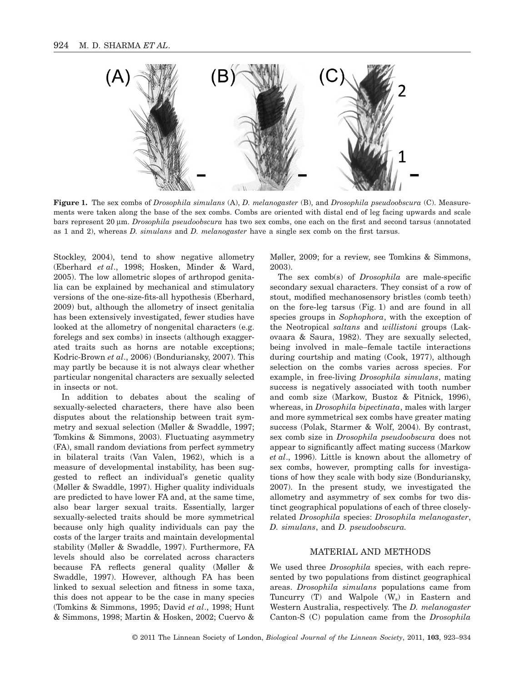

**Figure 1.** The sex combs of *Drosophila simulans* (A), *D. melanogaster* (B), and *Drosophila pseudoobscura* (C). Measurements were taken along the base of the sex combs. Combs are oriented with distal end of leg facing upwards and scale bars represent 20  $\mu$ m. *Drosophila pseudoobscura* has two sex combs, one each on the first and second tarsus (annotated as 1 and 2), whereas *D. simulans* and *D. melanogaster* have a single sex comb on the first tarsus.

Stockley, 2004), tend to show negative allometry (Eberhard *et al*., 1998; Hosken, Minder & Ward, 2005). The low allometric slopes of arthropod genitalia can be explained by mechanical and stimulatory versions of the one-size-fits-all hypothesis (Eberhard, 2009) but, although the allometry of insect genitalia has been extensively investigated, fewer studies have looked at the allometry of nongenital characters (e.g. forelegs and sex combs) in insects (although exaggerated traits such as horns are notable exceptions; Kodric-Brown *et al*., 2006) (Bonduriansky, 2007). This may partly be because it is not always clear whether particular nongenital characters are sexually selected in insects or not.

In addition to debates about the scaling of sexually-selected characters, there have also been disputes about the relationship between trait symmetry and sexual selection (Møller & Swaddle, 1997; Tomkins & Simmons, 2003). Fluctuating asymmetry (FA), small random deviations from perfect symmetry in bilateral traits (Van Valen, 1962), which is a measure of developmental instability, has been suggested to reflect an individual's genetic quality (Møller & Swaddle, 1997). Higher quality individuals are predicted to have lower FA and, at the same time, also bear larger sexual traits. Essentially, larger sexually-selected traits should be more symmetrical because only high quality individuals can pay the costs of the larger traits and maintain developmental stability (Møller & Swaddle, 1997). Furthermore, FA levels should also be correlated across characters because FA reflects general quality (Møller & Swaddle, 1997). However, although FA has been linked to sexual selection and fitness in some taxa, this does not appear to be the case in many species (Tomkins & Simmons, 1995; David *et al*., 1998; Hunt & Simmons, 1998; Martin & Hosken, 2002; Cuervo &

Møller, 2009; for a review, see Tomkins & Simmons, 2003).

The sex comb(s) of *Drosophila* are male-specific secondary sexual characters. They consist of a row of stout, modified mechanosensory bristles (comb teeth) on the fore-leg tarsus (Fig. 1) and are found in all species groups in *Sophophora*, with the exception of the Neotropical *saltans* and *willistoni* groups (Lakovaara & Saura, 1982). They are sexually selected, being involved in male–female tactile interactions during courtship and mating (Cook, 1977), although selection on the combs varies across species. For example, in free-living *Drosophila simulans*, mating success is negatively associated with tooth number and comb size (Markow, Bustoz & Pitnick, 1996), whereas, in *Drosophila bipectinata*, males with larger and more symmetrical sex combs have greater mating success (Polak, Starmer & Wolf, 2004). By contrast, sex comb size in *Drosophila pseudoobscura* does not appear to significantly affect mating success (Markow *et al*., 1996). Little is known about the allometry of sex combs, however, prompting calls for investigations of how they scale with body size (Bonduriansky, 2007). In the present study, we investigated the allometry and asymmetry of sex combs for two distinct geographical populations of each of three closelyrelated *Drosophila* species: *Drosophila melanogaster*, *D. simulans*, and *D. pseudoobscura.*

#### MATERIAL AND METHODS

We used three *Drosophila* species, with each represented by two populations from distinct geographical areas. *Drosophila simulans* populations came from Tuncurry  $(T)$  and Walpole  $(W_s)$  in Eastern and Western Australia, respectively. The *D. melanogaster* Canton-S (C) population came from the *Drosophila*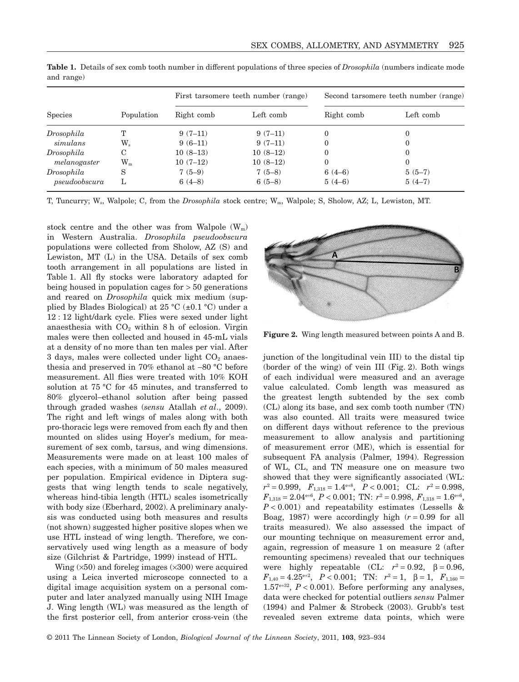|                |                       |            | First tarsomere teeth number (range) |            | Second tarsomere teeth number (range) |
|----------------|-----------------------|------------|--------------------------------------|------------|---------------------------------------|
| <b>Species</b> | Population            | Right comb | Left comb                            | Right comb | Left comb                             |
| Drosophila     |                       | $9(7-11)$  | $9(7-11)$                            | 0          | $\Omega$                              |
| simulans       | $\rm W_{\tiny \rm s}$ | $9(6-11)$  | $9(7-11)$                            | 0          | $\Omega$                              |
| Drosophila     | C                     | $10(8-13)$ | $10(8-12)$                           | 0          | $\Omega$                              |
| melanogaster   | $\rm W_{m}$           | $10(7-12)$ | $10(8-12)$                           | $\Omega$   | 0                                     |
| Drosophila     | S                     | $7(5-9)$   | $7(5-8)$                             | $6(4-6)$   | $5(5-7)$                              |
| pseudoobscura  |                       | $6(4-8)$   | $6(5-8)$                             | $5(4-6)$   | $5(4-7)$                              |

**Table 1.** Details of sex comb tooth number in different populations of three species of *Drosophila* (numbers indicate mode and range)

T, Tuncurry; Ws, Walpole; C, from the *Drosophila* stock centre; Wm, Walpole; S, Sholow, AZ; L, Lewiston, MT.

stock centre and the other was from Walpole  $(W_m)$ in Western Australia. *Drosophila pseudoobscura* populations were collected from Sholow, AZ (S) and Lewiston, MT (L) in the USA. Details of sex comb tooth arrangement in all populations are listed in Table 1. All fly stocks were laboratory adapted for being housed in population cages for > 50 generations and reared on *Drosophila* quick mix medium (supplied by Blades Biological) at 25 °C ( $\pm$ 0.1 °C) under a 12 : 12 light/dark cycle. Flies were sexed under light anaesthesia with  $CO<sub>2</sub>$  within 8 h of eclosion. Virgin males were then collected and housed in 45-mL vials at a density of no more than ten males per vial. After  $3$  days, males were collected under light  $CO<sub>2</sub>$  anaesthesia and preserved in 70% ethanol at -80 °C before measurement. All flies were treated with 10% KOH solution at 75 °C for 45 minutes, and transferred to 80% glycerol–ethanol solution after being passed through graded washes (*sensu* Atallah *et al*., 2009). The right and left wings of males along with both pro-thoracic legs were removed from each fly and then mounted on slides using Hoyer's medium, for measurement of sex comb, tarsus, and wing dimensions. Measurements were made on at least 100 males of each species, with a minimum of 50 males measured per population. Empirical evidence in Diptera suggests that wing length tends to scale negatively, whereas hind-tibia length (HTL) scales isometrically with body size (Eberhard, 2002). A preliminary analysis was conducted using both measures and results (not shown) suggested higher positive slopes when we use HTL instead of wing length. Therefore, we conservatively used wing length as a measure of body size (Gilchrist & Partridge, 1999) instead of HTL.

Wing  $(x50)$  and foreleg images  $(x300)$  were acquired using a Leica inverted microscope connected to a digital image acquisition system on a personal computer and later analyzed manually using NIH Image J. Wing length (WL) was measured as the length of the first posterior cell, from anterior cross-vein (the



**Figure 2.** Wing length measured between points A and B.

junction of the longitudinal vein III) to the distal tip (border of the wing) of vein III (Fig. 2). Both wings of each individual were measured and an average value calculated. Comb length was measured as the greatest length subtended by the sex comb (CL) along its base, and sex comb tooth number (TN) was also counted. All traits were measured twice on different days without reference to the previous measurement to allow analysis and partitioning of measurement error (ME), which is essential for subsequent FA analysis (Palmer, 1994). Regression of WL, CL, and TN measure one on measure two showed that they were significantly associated (WL:  $r^2 = 0.999$ ,  $F_{1,318} = 1.4$ <sup>e+8</sup>,  $P < 0.001$ ; CL:  $r^2 = 0.998$ ,  $F_{1,318} = 2.04^{\text{e+6}}, \ P < 0.001; \ \text{TN:} \ r^2 = 0.998, \ F_{1,318} = 1.6^{\text{e+6}},$ *P* < 0.001) and repeatability estimates (Lessells & Boag, 1987) were accordingly high  $(r = 0.99$  for all traits measured). We also assessed the impact of our mounting technique on measurement error and, again, regression of measure 1 on measure 2 (after remounting specimens) revealed that our techniques were highly repeatable (CL:  $r^2 = 0.92$ ,  $\beta = 0.96$ ,  $F_{1,40} = 4.25$ <sup>e+2</sup>,  $P < 0.001;$  TN:  $r^2 = 1, \beta = 1, \ F_{1,160} =$ 1.57<sup>e+32</sup>,  $P < 0.001$ ). Before performing any analyses, data were checked for potential outliers *sensu* Palmer (1994) and Palmer & Strobeck (2003). Grubb's test revealed seven extreme data points, which were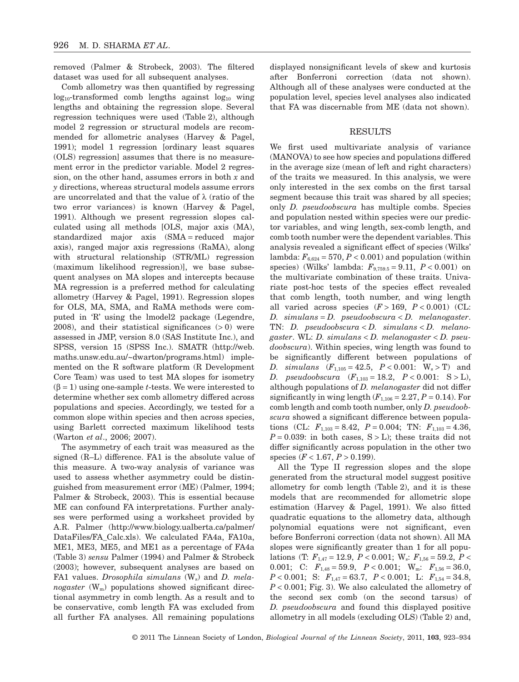removed (Palmer & Strobeck, 2003). The filtered dataset was used for all subsequent analyses.

Comb allometry was then quantified by regressing  $log_{10}$ -transformed comb lengths against  $log_{10}$  wing lengths and obtaining the regression slope. Several regression techniques were used (Table 2), although model 2 regression or structural models are recommended for allometric analyses (Harvey & Pagel, 1991); model 1 regression [ordinary least squares (OLS) regression] assumes that there is no measurement error in the predictor variable. Model 2 regression, on the other hand, assumes errors in both *x* and *y* directions, whereas structural models assume errors are uncorrelated and that the value of  $\lambda$  (ratio of the two error variances) is known (Harvey & Pagel, 1991). Although we present regression slopes calculated using all methods [OLS, major axis (MA), standardized major axis (SMA = reduced major axis), ranged major axis regressions (RaMA), along with structural relationship (STR/ML) regression (maximum likelihood regression)], we base subsequent analyses on MA slopes and intercepts because MA regression is a preferred method for calculating allometry (Harvey & Pagel, 1991). Regression slopes for OLS, MA, SMA, and RaMA methods were computed in 'R' using the lmodel2 package (Legendre,  $2008$ ), and their statistical significances  $(> 0)$  were assessed in JMP, version 8.0 (SAS Institute Inc.), and SPSS, version 15 (SPSS Inc.). SMATR (http://web. maths.unsw.edu.au/~dwarton/programs.html) implemented on the R software platform (R Development Core Team) was used to test MA slopes for isometry  $(\beta = 1)$  using one-sample *t*-tests. We were interested to determine whether sex comb allometry differed across populations and species. Accordingly, we tested for a common slope within species and then across species, using Barlett corrected maximum likelihood tests (Warton *et al*., 2006; 2007).

The asymmetry of each trait was measured as the signed (R–L) difference. FA1 is the absolute value of this measure. A two-way analysis of variance was used to assess whether asymmetry could be distinguished from measurement error (ME) (Palmer, 1994; Palmer & Strobeck, 2003). This is essential because ME can confound FA interpretations. Further analyses were performed using a worksheet provided by A.R. Palmer (http://www.biology.ualberta.ca/palmer/ DataFiles/FA\_Calc.xls). We calculated FA4a, FA10a, ME1, ME3, ME5, and ME1 as a percentage of FA4a (Table 3) *sensu* Palmer (1994) and Palmer & Strobeck (2003); however, subsequent analyses are based on FA1 values. *Drosophila simulans* (W<sub>s</sub>) and *D. mela* $nogaster$  ( $W_m$ ) populations showed significant directional asymmetry in comb length. As a result and to be conservative, comb length FA was excluded from all further FA analyses. All remaining populations

displayed nonsignificant levels of skew and kurtosis after Bonferroni correction (data not shown). Although all of these analyses were conducted at the population level, species level analyses also indicated that FA was discernable from ME (data not shown).

## RESULTS

We first used multivariate analysis of variance (MANOVA) to see how species and populations differed in the average size (mean of left and right characters) of the traits we measured. In this analysis, we were only interested in the sex combs on the first tarsal segment because this trait was shared by all species; only *D. pseudoobscura* has multiple combs. Species and population nested within species were our predictor variables, and wing length, sex-comb length, and comb tooth number were the dependent variables. This analysis revealed a significant effect of species (Wilks' lambda:  $F_{6,624} = 570, P < 0.001$ ) and population (within species) (Wilks' lambda:  $F_{9,759.5} = 9.11, P < 0.001$ ) on the multivariate combination of these traits. Univariate post-hoc tests of the species effect revealed that comb length, tooth number, and wing length all varied across species  $(F > 169, P < 0.001)$  (CL: *D. simulans* = *D. pseudoobscura* < *D. melanogaster*. TN: *D. pseudoobscura* < *D. simulans* < *D. melanogaster*. WL: *D. simulans* < *D. melanogaster* < *D. pseudoobscura*). Within species, wing length was found to be significantly different between populations of *D. simulans*  $(F_{1,105} = 42.5, P < 0.001$ :  $W_s > T$  and *D. pseudoobscura*  $(F_{1,103} = 18.2, P < 0.001$ : S > L), although populations of *D. melanogaster* did not differ significantly in wing length  $(F_{1,106} = 2.27, P = 0.14)$ . For comb length and comb tooth number, only *D. pseudoobscura* showed a significant difference between populations (CL:  $F_{1,103} = 8.42$ ,  $P = 0.004$ ; TN:  $F_{1,103} = 4.36$ ,  $P = 0.039$ : in both cases,  $S > L$ ); these traits did not differ significantly across population in the other two species  $(F < 1.67, P > 0.199)$ .

All the Type II regression slopes and the slope generated from the structural model suggest positive allometry for comb length (Table 2), and it is these models that are recommended for allometric slope estimation (Harvey & Pagel, 1991). We also fitted quadratic equations to the allometry data, although polynomial equations were not significant, even before Bonferroni correction (data not shown). All MA slopes were significantly greater than 1 for all populations (T:  $F_{1,47} = 12.9, P < 0.001; W_s: F_{1,56} = 59.2, P <$ 0.001; C: *F*1,48 = 59.9, *P* < 0.001; Wm: *F*1,56 = 36.0, *P* < 0.001; S: *F*1,47 = 63.7, *P* < 0.001; L: *F*1,54 = 34.8, *P* < 0.001; Fig. 3). We also calculated the allometry of the second sex comb (on the second tarsus) of *D. pseudoobscura* and found this displayed positive allometry in all models (excluding OLS) (Table 2) and,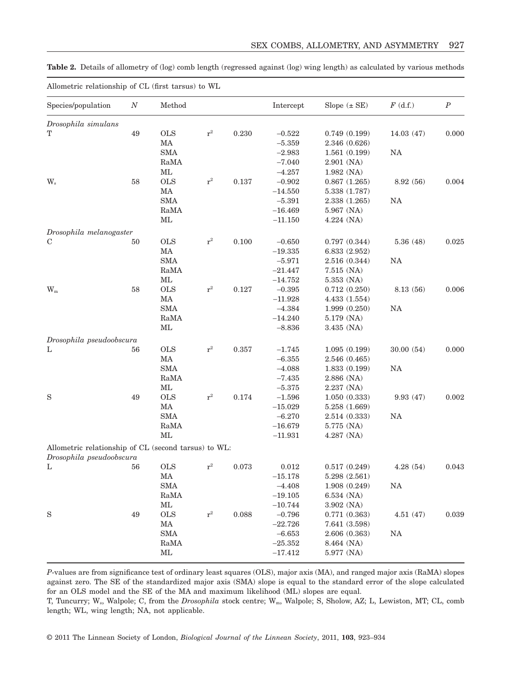| Species/population                                   | $\,N$  | Method               |                |       | Intercept | Slope $(\pm SE)$ | $F$ (d.f.) | $\boldsymbol{P}$ |
|------------------------------------------------------|--------|----------------------|----------------|-------|-----------|------------------|------------|------------------|
| Drosophila simulans                                  |        |                      |                |       |           |                  |            |                  |
| T                                                    | $49\,$ | <b>OLS</b>           | $\mathbf{r}^2$ | 0.230 | $-0.522$  | 0.749(0.199)     | 14.03(47)  | 0.000            |
|                                                      |        | MA                   |                |       | $-5.359$  | 2.346 (0.626)    |            |                  |
|                                                      |        | <b>SMA</b>           |                |       | $-2.983$  | 1.561(0.199)     | NA         |                  |
|                                                      |        | RaMA                 |                |       | $-7.040$  | 2.901 (NA)       |            |                  |
|                                                      |        | ML                   |                |       | $-4.257$  | 1.982 (NA)       |            |                  |
| $W_{s}$                                              | 58     | <b>OLS</b>           | $\mathbf{r}^2$ | 0.137 | $-0.902$  | 0.867(1.265)     | 8.92(56)   | 0.004            |
|                                                      |        | MA                   |                |       | $-14.550$ | 5.338 (1.787)    |            |                  |
|                                                      |        | <b>SMA</b>           |                |       | $-5.391$  | 2.338 (1.265)    | NA         |                  |
|                                                      |        | RaMA                 |                |       | $-16.469$ | 5.967 (NA)       |            |                  |
|                                                      |        | ML                   |                |       | $-11.150$ | $4.224$ (NA)     |            |                  |
| Drosophila melanogaster                              |        |                      |                |       |           |                  |            |                  |
| C                                                    | $50\,$ | <b>OLS</b>           | $r^2$          | 0.100 | $-0.650$  | 0.797(0.344)     | 5.36(48)   | 0.025            |
|                                                      |        | MA                   |                |       | $-19.335$ | 6.833(2.952)     |            |                  |
|                                                      |        | <b>SMA</b>           |                |       | $-5.971$  | 2.516(0.344)     | NA         |                  |
|                                                      |        | RaMA                 |                |       | $-21.447$ | $7.515$ (NA)     |            |                  |
|                                                      |        | $\rm ML$             |                |       | $-14.752$ | 5.353 (NA)       |            |                  |
| $\rm W_m$                                            | 58     | <b>OLS</b>           | $r^2$          | 0.127 | $-0.395$  | 0.712(0.250)     | 8.13 (56)  | 0.006            |
|                                                      |        | MA                   |                |       | $-11.928$ | 4.433(1.554)     |            |                  |
|                                                      |        | SMA                  |                |       | $-4.384$  | 1.999(0.250)     | NA         |                  |
|                                                      |        | RaMA                 |                |       | $-14.240$ | 5.179 (NA)       |            |                  |
|                                                      |        | $\rm ML$             |                |       | $-8.836$  | 3.435 (NA)       |            |                  |
| Drosophila pseudoobscura                             |        |                      |                |       |           |                  |            |                  |
| L                                                    | 56     | <b>OLS</b>           | $\mathbf{r}^2$ | 0.357 | $-1.745$  | 1.095(0.199)     | 30.00(54)  | 0.000            |
|                                                      |        | $\rm MA$             |                |       | $-6.355$  | 2.546(0.465)     |            |                  |
|                                                      |        | $\operatorname{SMA}$ |                |       | $-4.088$  | 1.833(0.199)     | NA         |                  |
|                                                      |        | RaMA                 |                |       | $-7.435$  | 2.886 (NA)       |            |                  |
|                                                      |        | ML                   |                |       | $-5.375$  | $2.237$ (NA)     |            |                  |
| S                                                    | 49     | <b>OLS</b>           | $r^2$          | 0.174 | $-1.596$  | 1.050(0.333)     | 9.93(47)   | 0.002            |
|                                                      |        | $\rm MA$             |                |       | $-15.029$ | 5.258 (1.669)    |            |                  |
|                                                      |        | $\operatorname{SMA}$ |                |       | $-6.270$  | 2.514 (0.333)    | NA         |                  |
|                                                      |        | RaMA                 |                |       | $-16.679$ | 5.775 (NA)       |            |                  |
|                                                      |        | ML                   |                |       | $-11.931$ | 4.287 (NA)       |            |                  |
| Allometric relationship of CL (second tarsus) to WL: |        |                      |                |       |           |                  |            |                  |
| Drosophila pseudoobscura                             |        |                      |                |       |           |                  |            |                  |
| L                                                    | 56     | <b>OLS</b>           | $r^2$          | 0.073 | 0.012     | 0.517(0.249)     | 4.28(54)   | $\,0.043\,$      |
|                                                      |        | MA                   |                |       | $-15.178$ | 5.298 (2.561)    |            |                  |
|                                                      |        | SMA                  |                |       | $-4.408$  | 1.908(0.249)     | NA         |                  |
|                                                      |        | RaMA                 |                |       | $-19.105$ | 6.534 (NA)       |            |                  |
|                                                      |        | ML                   |                |       | $-10.744$ | 3.902 (NA)       |            |                  |
| S                                                    | 49     | <b>OLS</b>           | $r^2$          | 0.088 | $-0.796$  | 0.771(0.363)     | 4.51(47)   | 0.039            |
|                                                      |        | MA                   |                |       | $-22.726$ | 7.641 (3.598)    |            |                  |
|                                                      |        | SMA                  |                |       | $-6.653$  | 2.606(0.363)     | NA         |                  |
|                                                      |        | RaMA                 |                |       | $-25.352$ | 8.464 (NA)       |            |                  |
|                                                      |        | ML                   |                |       | $-17.412$ | 5.977 (NA)       |            |                  |

**Table 2.** Details of allometry of (log) comb length (regressed against (log) wing length) as calculated by various methods

Allometric relationship of CL (first tarsus) to WL

*P*-values are from significance test of ordinary least squares (OLS), major axis (MA), and ranged major axis (RaMA) slopes against zero. The SE of the standardized major axis (SMA) slope is equal to the standard error of the slope calculated for an OLS model and the SE of the MA and maximum likelihood (ML) slopes are equal.

T, Tuncurry; Ws, Walpole; C, from the *Drosophila* stock centre; Wm, Walpole; S, Sholow, AZ; L, Lewiston, MT; CL, comb length; WL, wing length; NA, not applicable.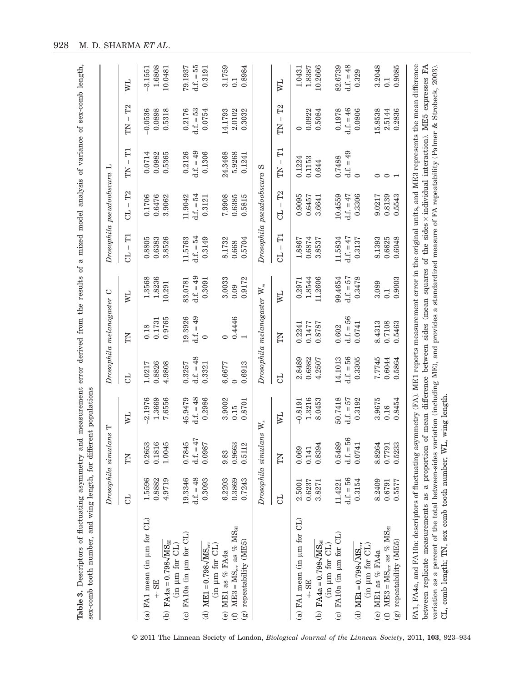|                                                                                                                                                                                    |                       | Drosophila simulans     | ⊢                       |                       | Drosophila melanogaster                                        | ○                     |                                                | $Drosophila$ pseudoobscura                           | ᆜ                                         |                                                                                                                                                                                                                                                                                                                    |                            |
|------------------------------------------------------------------------------------------------------------------------------------------------------------------------------------|-----------------------|-------------------------|-------------------------|-----------------------|----------------------------------------------------------------|-----------------------|------------------------------------------------|------------------------------------------------------|-------------------------------------------|--------------------------------------------------------------------------------------------------------------------------------------------------------------------------------------------------------------------------------------------------------------------------------------------------------------------|----------------------------|
|                                                                                                                                                                                    | <b>G</b>              | ΣŢ                      |                         | FO                    | E                                                              |                       | $\Gamma$<br><b>P</b>                           | $\mathbb{P}^2$<br>5                                  | $\Xi$<br>E                                | $\mathbb{P}^2$<br>E                                                                                                                                                                                                                                                                                                | $\mathbb N$                |
|                                                                                                                                                                                    |                       |                         | Ę                       |                       |                                                                | Σ                     | $\overline{\phantom{a}}$                       | $\overline{\phantom{a}}$                             | $\overline{\phantom{a}}$                  | $\mathbf{I}$                                                                                                                                                                                                                                                                                                       |                            |
| (a) FA1 mean (in µm for CL)                                                                                                                                                        | 1.5596                | 653<br>0.26             | 2.1976                  | 1.0217                | 0.18                                                           | 1.3568                | 0.8805                                         | 0.1706                                               | 0.0714                                    | $-0.0536$                                                                                                                                                                                                                                                                                                          | $-3.1551$                  |
| (b) $FA4a = 0.798\sqrt{MS_{SI}}$<br>$(in \mu m \text{ for } CL)$<br>$+$ -SE                                                                                                        | 4.9719<br>0.8882      | 0.1816<br>1.0045        | 1.3669<br>7.6556        | 0.8826<br>4.9808      | 0.9765<br>0.1731                                               | 1.8236<br>10.291      | 0.6383<br>3.8526                               | 0.6476<br>3.9062                                     | 0.0982<br>0.5365                          | 0.0898<br>0.5318                                                                                                                                                                                                                                                                                                   | 1.6808<br>10.0481          |
| (c) $FA10a$ (in $\mu$ m for CL)                                                                                                                                                    | 19.3346               | 0.7845                  | 45.9479                 | 0.3257                | 19.3926                                                        | 83.0781               | 11.5763                                        | 11.9042                                              | 0.2126                                    | 0.2176                                                                                                                                                                                                                                                                                                             | 79.1937                    |
| (d) ME1 = $0.798\sqrt{MS_{\rm err}}$                                                                                                                                               | $d.f. = 48$<br>0.3093 | $=47$<br>0.0987<br>d.f. | $d.f. = 48$<br>0.2986   | $d.f. = 48$<br>0.3321 | $d.f. = 49$<br>$\circ$                                         | $d.f. = 49$<br>0.3091 | $d.f. = 54$<br>0.3149                          | $d.f. = 54$<br>0.3121                                | $d.f. = 49$<br>0.1306                     | $d.f. = 53$<br>0.0754                                                                                                                                                                                                                                                                                              | $d.f. = 55$<br>0.3191      |
| (in µm for CL)<br>(e) ME1 as $%$ FA4a                                                                                                                                              | 6.2203                | 9.83                    | 3.9002                  | 6.6677                | $\circ$                                                        | 3.0033                | 8.1732                                         | 7.9908                                               | 24.3468                                   | 14.1793                                                                                                                                                                                                                                                                                                            | 3.1759                     |
| (f) ME3 = $\text{MS}_{\text{err}}$ as % $\text{MS}_{\text{SI}}$<br>$(g)$ repeatability (ME5)                                                                                       | 0.3869<br>0.7243      | 0.9663<br>0.5112        | 0.8701<br>0.15          | 0.6913<br>$\circ$     | 0.4446                                                         | 0.9172<br>0.09        | 0.5704<br>0.668                                | 0.6385<br>0.5815                                     | 5.9268<br>0.1241                          | 2.0102<br>0.3032                                                                                                                                                                                                                                                                                                   | 0.8984<br>$\overline{0.1}$ |
|                                                                                                                                                                                    | $Drosophila\ sim$     | suppri                  | $\mathbf{W}_\mathrm{s}$ |                       | $D$ rosophila melanogaster $\mathrm{W}_{\scriptscriptstyle m}$ |                       |                                                | $Drosophila$ pseudoo $bscura$                        | Ω                                         |                                                                                                                                                                                                                                                                                                                    |                            |
|                                                                                                                                                                                    | <b>PD</b>             | EN                      | $\Xi$                   | FD                    | E                                                              | ΣM                    | $\Gamma$<br>$\overline{\phantom{a}}$<br>.<br>이 | $\mathbb{P}^2$<br>$\overline{\phantom{a}}$<br>5<br>U | $\Gamma$<br>$\overline{\phantom{a}}$<br>E | $\mathbb{P}^2$<br>$\mathbf{I}$<br>K                                                                                                                                                                                                                                                                                | ΣM                         |
| (a) $FA1$ mean (in $\mu$ m for $CL$ )                                                                                                                                              | 2.5001                | 0.069                   | $-0.8191$               | 2.8489                | 0.2241                                                         | 0.2971                | 1.8867                                         | 0.9095                                               | 0.1224                                    | $\circ$                                                                                                                                                                                                                                                                                                            | 1.0431                     |
| $+$ -SE                                                                                                                                                                            | 0.6237                | 0.141                   | 1.3216                  | 0.6982                | 0.1477                                                         | 1.8544                | 0.6874                                         | 0.6457                                               | 0.1153                                    | 0.0922                                                                                                                                                                                                                                                                                                             | 1.8387                     |
| (b) $FA4a = 0.798\sqrt{MS_{SI}}$<br>(in µm for CL)                                                                                                                                 | 3.8271                | 0.8394                  | 8.0453                  | 4.2507                | 0.8787                                                         | 11.2606               | .8537<br>က                                     | 3.6641                                               | 0.644                                     | 0.5084                                                                                                                                                                                                                                                                                                             | 10.2666                    |
| (c) $FA10a$ (in $\mu$ m for CL)                                                                                                                                                    | 11.4221               | 0.5489                  | 50.7418                 | 14.1013               | 0.602                                                          | 99.4654               | 11.5834                                        | 10.4559                                              | 0.7488                                    | 0.1978                                                                                                                                                                                                                                                                                                             | 82.6739                    |
|                                                                                                                                                                                    | $d.f. = 56$           | $d.f. = 56$             | $d.f. = 57$             | $d.f. = 56$           | $d.f. = 56$                                                    | $d.f. = 57$           | $d.f. = 47$                                    | $d.f. = 47$                                          | $d.f. = 49$                               | $d.f. = 46$                                                                                                                                                                                                                                                                                                        | $d.f. = 48$                |
| (d) $MEL = 0.798\sqrt{MS_{err}}$                                                                                                                                                   | 0.3154                | 0.0741                  | 0.3192                  | 0.3305                | 0.0741                                                         | 0.3478                | 0.3137                                         | 0.3306                                               | $\circ$                                   | 0.0806                                                                                                                                                                                                                                                                                                             | 0.329                      |
| $(in \mu m \text{ for } CL)$<br>(e) ME1 as % FA4a                                                                                                                                  | 8.2409                | 8.8264                  | 3.9675                  | 7.7745                | 8.4313                                                         | 3.089                 | 8.1393                                         | 9.0217                                               | $\circ$                                   | 15.8538                                                                                                                                                                                                                                                                                                            | 3.2048                     |
| (f) ME3 = $MS_{err}$ as % MS <sub>SI</sub>                                                                                                                                         | 0.6791                | 0.7791                  | 0.16                    | 0.6044                | 0.7108                                                         | 0.1                   | 0.6625                                         | 0.8139                                               | $\circ$ $\overline{ }$                    | 2.5144                                                                                                                                                                                                                                                                                                             | $\overline{0.1}$           |
| repeatability (ME5)<br>$\circledcirc$                                                                                                                                              | 0.5577                | 0.5233                  | 0.8454                  | 0.5864                | 0.5463                                                         | 0.9003                | 0.6048                                         | 0.5543                                               |                                           | 0.2836                                                                                                                                                                                                                                                                                                             | 0.9085                     |
| between replicate measurements as a proportion of mean difference between<br>FA1, FA4a, and FA10a: descriptors of fluctuating<br>variation as a percent of the total between-sides |                       |                         |                         |                       |                                                                |                       |                                                |                                                      |                                           | asymmetry (FA). ME1 reports measurement error in the original units, and ME3 represents the mean difference<br>sides (mean squares of the sides $\times$ individual interaction). ME5 expresses FA<br>variation (including ME), and provides a standardized measure of FA repeatability (Palmer & Strobeck, 2003). |                            |
| CL, comb length; TN, sex comb tooth number; WL, wing length                                                                                                                        |                       |                         |                         |                       |                                                                |                       |                                                |                                                      |                                           |                                                                                                                                                                                                                                                                                                                    |                            |

© 2011 The Linnean Society of London, *Biological Journal of the Linnean Society*, 2011, **103**, 923–934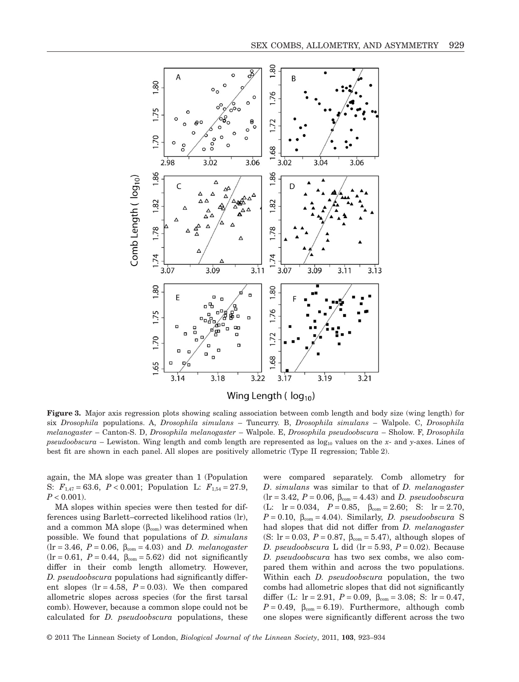

**Figure 3.** Major axis regression plots showing scaling association between comb length and body size (wing length) for six *Drosophila* populations. A, *Drosophila simulans* – Tuncurry. B, *Drosophila simulans* – Walpole. C, *Drosophila melanogaster* – Canton-S. D, *Drosophila melanogaster* – Walpole. E, *Drosophila pseudoobscura* – Sholow. F, *Drosophila pseudoobscura* – Lewiston. Wing length and comb length are represented as  $log_{10}$  values on the *x*- and *y*-axes. Lines of best fit are shown in each panel. All slopes are positively allometric (Type II regression; Table 2).

again, the MA slope was greater than 1 (Population S: *F*1,47 = 63.6, *P* < 0.001; Population L: *F*1,54 = 27.9,  $P < 0.001$ ).

MA slopes within species were then tested for differences using Barlett–corrected likelihood ratios (lr), and a common MA slope  $(\beta_{com})$  was determined when possible. We found that populations of *D. simulans*  $(lr = 3.46, P = 0.06, \beta_{com} = 4.03)$  and *D. melanogaster*  $(lr = 0.61, P = 0.44, \beta_{com} = 5.62)$  did not significantly differ in their comb length allometry. However, *D. pseudoobscura* populations had significantly different slopes  $(lr = 4.58, P = 0.03)$ . We then compared allometric slopes across species (for the first tarsal comb). However, because a common slope could not be calculated for *D. pseudoobscura* populations, these were compared separately. Comb allometry for *D*. *simulans* was similar to that of *D. melanogaster*  $(lr = 3.42, P = 0.06, \beta_{com} = 4.43)$  and *D. pseudoobscura* (L:  $\text{lr} = 0.034, P = 0.85, \beta_{\text{com}} = 2.60; \text{S: } \text{lr} = 2.70,$  $P = 0.10$ ,  $\beta_{\text{com}} = 4.04$ . Similarly, *D. pseudoobscura* S had slopes that did not differ from *D. melanogaster* (S:  $Ir = 0.03$ ,  $P = 0.87$ ,  $\beta_{com} = 5.47$ ), although slopes of *D. pseudoobscura* L did (lr = 5.93, *P* = 0.02). Because *D. pseudoobscura* has two sex combs, we also compared them within and across the two populations. Within each *D. pseudoobscura* population, the two combs had allometric slopes that did not significantly differ (L:  $\text{lr} = 2.91, P = 0.09, \beta_{\text{com}} = 3.08; \text{ S: } \text{lr} = 0.47,$  $P = 0.49$ ,  $\beta_{\text{com}} = 6.19$ . Furthermore, although comb one slopes were significantly different across the two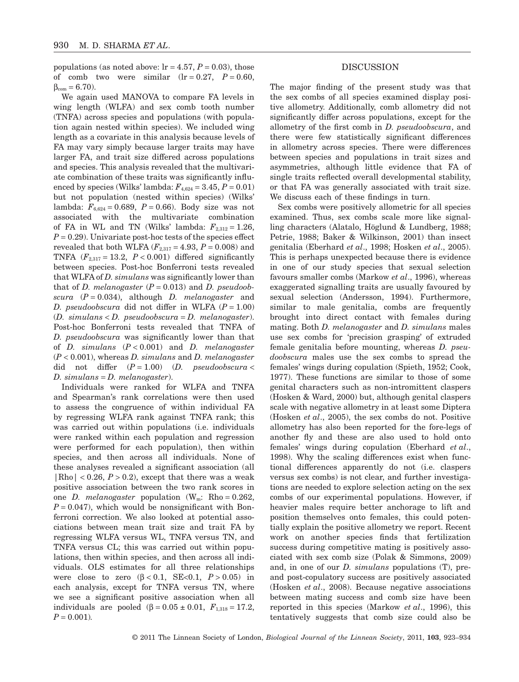populations (as noted above:  $r = 4.57$ ,  $P = 0.03$ ), those of comb two were similar  $(lr = 0.27, P = 0.60,$  $\beta_{com} = 6.70$ ).

We again used MANOVA to compare FA levels in wing length (WLFA) and sex comb tooth number (TNFA) across species and populations (with population again nested within species). We included wing length as a covariate in this analysis because levels of FA may vary simply because larger traits may have larger FA, and trait size differed across populations and species. This analysis revealed that the multivariate combination of these traits was significantly influenced by species (Wilks' lambda:  $F_{4,624} = 3.45, P = 0.01$ ) but not population (nested within species) (Wilks' lambda:  $F_{6,624} = 0.689$ ,  $P = 0.66$ ). Body size was not associated with the multivariate combination of FA in WL and TN (Wilks' lambda:  $F_{2,312} = 1.26$ ,  $P = 0.29$ . Univariate post-hoc tests of the species effect revealed that both WLFA  $(F_{2,317} = 4.93, P = 0.008)$  and TNFA  $(F_{2,317} = 13.2, P < 0.001)$  differed significantly between species. Post-hoc Bonferroni tests revealed that WLFA of *D. simulans* was significantly lower than that of *D. melanogaster*  $(P = 0.013)$  and *D. pseudoobscura* (*P* = 0.034), although *D. melanogaster* and *D. pseudoobscura* did not differ in WLFA  $(P = 1.00)$ (*D. simulans* < *D. pseudoobscura* = *D. melanogaster*). Post-hoc Bonferroni tests revealed that TNFA of *D. pseudoobscura* was significantly lower than that of *D. simulans* (*P* < 0.001) and *D. melanogaster* (*P* < 0.001), whereas *D. simulans* and *D. melanogaster* did not differ (*P* = 1.00) (*D. pseudoobscura* < *D. simulans* = *D. melanogaster*).

Individuals were ranked for WLFA and TNFA and Spearman's rank correlations were then used to assess the congruence of within individual FA by regressing WLFA rank against TNFA rank; this was carried out within populations (i.e. individuals were ranked within each population and regression were performed for each population), then within species, and then across all individuals. None of these analyses revealed a significant association (all  $|Rho| < 0.26$ ,  $P > 0.2$ ), except that there was a weak positive association between the two rank scores in one *D. melanogaster* population  $(W_m: Rho = 0.262)$ ,  $P = 0.047$ , which would be nonsignificant with Bonferroni correction. We also looked at potential associations between mean trait size and trait FA by regressing WLFA versus WL, TNFA versus TN, and TNFA versus CL; this was carried out within populations, then within species, and then across all individuals. OLS estimates for all three relationships were close to zero  $(\beta < 0.1, \text{SE} < 0.1, P > 0.05)$  in each analysis, except for TNFA versus TN, where we see a significant positive association when all individuals are pooled  $(\beta = 0.05 \pm 0.01, F_{1,318} = 17.2,$  $P = 0.001$ *)*.

## DISCUSSION

The major finding of the present study was that the sex combs of all species examined display positive allometry. Additionally, comb allometry did not significantly differ across populations, except for the allometry of the first comb in *D. pseudoobscura*, and there were few statistically significant differences in allometry across species. There were differences between species and populations in trait sizes and asymmetries, although little evidence that FA of single traits reflected overall developmental stability, or that FA was generally associated with trait size. We discuss each of these findings in turn.

Sex combs were positively allometric for all species examined. Thus, sex combs scale more like signalling characters (Alatalo, Höglund & Lundberg, 1988; Petrie, 1988; Baker & Wilkinson, 2001) than insect genitalia (Eberhard *et al*., 1998; Hosken *et al*., 2005). This is perhaps unexpected because there is evidence in one of our study species that sexual selection favours smaller combs (Markow *et al*., 1996), whereas exaggerated signalling traits are usually favoured by sexual selection (Andersson, 1994). Furthermore, similar to male genitalia, combs are frequently brought into direct contact with females during mating. Both *D. melanogaster* and *D. simulans* males use sex combs for 'precision grasping' of extruded female genitalia before mounting, whereas *D. pseudoobscura* males use the sex combs to spread the females' wings during copulation (Spieth, 1952; Cook, 1977). These functions are similar to those of some genital characters such as non-intromittent claspers (Hosken & Ward, 2000) but, although genital claspers scale with negative allometry in at least some Diptera (Hosken *et al*., 2005), the sex combs do not. Positive allometry has also been reported for the fore-legs of another fly and these are also used to hold onto females' wings during copulation (Eberhard *et al*., 1998). Why the scaling differences exist when functional differences apparently do not (i.e. claspers versus sex combs) is not clear, and further investigations are needed to explore selection acting on the sex combs of our experimental populations. However, if heavier males require better anchorage to lift and position themselves onto females, this could potentially explain the positive allometry we report. Recent work on another species finds that fertilization success during competitive mating is positively associated with sex comb size (Polak & Simmons, 2009) and, in one of our *D. simulans* populations (T), preand post-copulatory success are positively associated (Hosken *et al*., 2008). Because negative associations between mating success and comb size have been reported in this species (Markow *et al*., 1996), this tentatively suggests that comb size could also be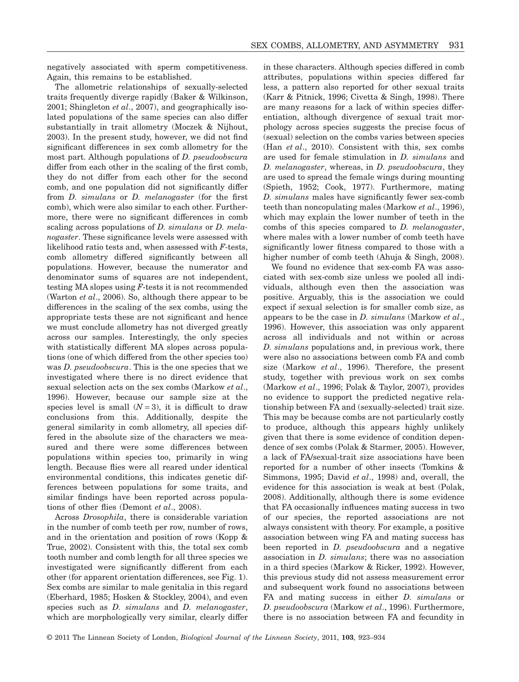negatively associated with sperm competitiveness. Again, this remains to be established.

The allometric relationships of sexually-selected traits frequently diverge rapidly (Baker & Wilkinson, 2001; Shingleton *et al*., 2007), and geographically isolated populations of the same species can also differ substantially in trait allometry (Moczek & Nijhout, 2003). In the present study, however, we did not find significant differences in sex comb allometry for the most part. Although populations of *D. pseudoobscura* differ from each other in the scaling of the first comb, they do not differ from each other for the second comb, and one population did not significantly differ from *D. simulans* or *D. melanogaster* (for the first comb), which were also similar to each other. Furthermore, there were no significant differences in comb scaling across populations of *D. simulans* or *D. melanogaster*. These significance levels were assessed with likelihood ratio tests and, when assessed with *F*-tests, comb allometry differed significantly between all populations. However, because the numerator and denominator sums of squares are not independent, testing MA slopes using *F*-tests it is not recommended (Warton *et al*., 2006). So, although there appear to be differences in the scaling of the sex combs, using the appropriate tests these are not significant and hence we must conclude allometry has not diverged greatly across our samples. Interestingly, the only species with statistically different MA slopes across populations (one of which differed from the other species too) was *D. pseudoobscura*. This is the one species that we investigated where there is no direct evidence that sexual selection acts on the sex combs (Markow *et al*., 1996). However, because our sample size at the species level is small  $(N=3)$ , it is difficult to draw conclusions from this. Additionally, despite the general similarity in comb allometry, all species differed in the absolute size of the characters we measured and there were some differences between populations within species too, primarily in wing length. Because flies were all reared under identical environmental conditions, this indicates genetic differences between populations for some traits, and similar findings have been reported across populations of other flies (Demont *et al*., 2008).

Across *Drosophila*, there is considerable variation in the number of comb teeth per row, number of rows, and in the orientation and position of rows (Kopp & True, 2002). Consistent with this, the total sex comb tooth number and comb length for all three species we investigated were significantly different from each other (for apparent orientation differences, see Fig. 1). Sex combs are similar to male genitalia in this regard (Eberhard, 1985; Hosken & Stockley, 2004), and even species such as *D. simulans* and *D. melanogaster*, which are morphologically very similar, clearly differ in these characters. Although species differed in comb attributes, populations within species differed far less, a pattern also reported for other sexual traits (Karr & Pitnick, 1996; Civetta & Singh, 1998). There are many reasons for a lack of within species differentiation, although divergence of sexual trait morphology across species suggests the precise focus of (sexual) selection on the combs varies between species (Han *et al*., 2010). Consistent with this, sex combs are used for female stimulation in *D. simulans* and *D. melanogaster*, whereas, in *D. pseudoobscura*, they are used to spread the female wings during mounting (Spieth, 1952; Cook, 1977). Furthermore, mating *D. simulans* males have significantly fewer sex-comb teeth than noncopulating males (Markow *et al*., 1996), which may explain the lower number of teeth in the combs of this species compared to *D. melanogaster*, where males with a lower number of comb teeth have significantly lower fitness compared to those with a higher number of comb teeth (Ahuja & Singh, 2008).

We found no evidence that sex-comb FA was associated with sex-comb size unless we pooled all individuals, although even then the association was positive. Arguably, this is the association we could expect if sexual selection is for smaller comb size, as appears to be the case in *D. simulans* (Markow *et al*., 1996). However, this association was only apparent across all individuals and not within or across *D. simulans* populations and, in previous work, there were also no associations between comb FA and comb size (Markow *et al*., 1996). Therefore, the present study, together with previous work on sex combs (Markow *et al*., 1996; Polak & Taylor, 2007), provides no evidence to support the predicted negative relationship between FA and (sexually-selected) trait size. This may be because combs are not particularly costly to produce, although this appears highly unlikely given that there is some evidence of condition dependence of sex combs (Polak & Starmer, 2005). However, a lack of FA/sexual-trait size associations have been reported for a number of other insects (Tomkins & Simmons, 1995; David *et al*., 1998) and, overall, the evidence for this association is weak at best (Polak, 2008). Additionally, although there is some evidence that FA occasionally influences mating success in two of our species, the reported associations are not always consistent with theory. For example, a positive association between wing FA and mating success has been reported in *D. pseudoobscura* and a negative association in *D. simulans*; there was no association in a third species (Markow & Ricker, 1992). However, this previous study did not assess measurement error and subsequent work found no associations between FA and mating success in either *D. simulans* or *D. pseudoobscura* (Markow *et al*., 1996). Furthermore, there is no association between FA and fecundity in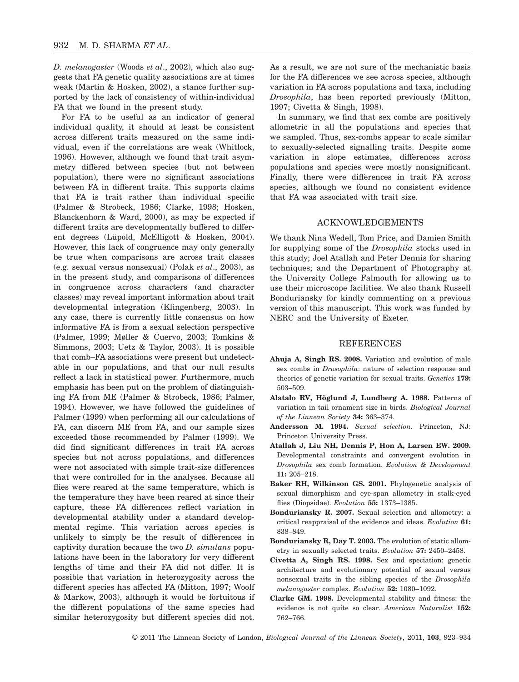*D. melanogaster* (Woods *et al*., 2002), which also suggests that FA genetic quality associations are at times weak (Martin & Hosken, 2002), a stance further supported by the lack of consistency of within-individual FA that we found in the present study.

For FA to be useful as an indicator of general individual quality, it should at least be consistent across different traits measured on the same individual, even if the correlations are weak (Whitlock, 1996). However, although we found that trait asymmetry differed between species (but not between population), there were no significant associations between FA in different traits. This supports claims that FA is trait rather than individual specific (Palmer & Strobeck, 1986; Clarke, 1998; Hosken, Blanckenhorn & Ward, 2000), as may be expected if different traits are developmentally buffered to different degrees (Lüpold, McElligott & Hosken, 2004). However, this lack of congruence may only generally be true when comparisons are across trait classes (e.g. sexual versus nonsexual) (Polak *et al*., 2003), as in the present study, and comparisons of differences in congruence across characters (and character classes) may reveal important information about trait developmental integration (Klingenberg, 2003). In any case, there is currently little consensus on how informative FA is from a sexual selection perspective (Palmer, 1999; Møller & Cuervo, 2003; Tomkins & Simmons, 2003; Uetz & Taylor, 2003). It is possible that comb–FA associations were present but undetectable in our populations, and that our null results reflect a lack in statistical power. Furthermore, much emphasis has been put on the problem of distinguishing FA from ME (Palmer & Strobeck, 1986; Palmer, 1994). However, we have followed the guidelines of Palmer (1999) when performing all our calculations of FA, can discern ME from FA, and our sample sizes exceeded those recommended by Palmer (1999). We did find significant differences in trait FA across species but not across populations, and differences were not associated with simple trait-size differences that were controlled for in the analyses. Because all flies were reared at the same temperature, which is the temperature they have been reared at since their capture, these FA differences reflect variation in developmental stability under a standard developmental regime. This variation across species is unlikely to simply be the result of differences in captivity duration because the two *D. simulans* populations have been in the laboratory for very different lengths of time and their FA did not differ. It is possible that variation in heterozygosity across the different species has affected FA (Mitton, 1997; Woolf & Markow, 2003), although it would be fortuitous if the different populations of the same species had similar heterozygosity but different species did not.

As a result, we are not sure of the mechanistic basis for the FA differences we see across species, although variation in FA across populations and taxa, including *Drosophila*, has been reported previously (Mitton, 1997; Civetta & Singh, 1998).

In summary, we find that sex combs are positively allometric in all the populations and species that we sampled. Thus, sex-combs appear to scale similar to sexually-selected signalling traits. Despite some variation in slope estimates, differences across populations and species were mostly nonsignificant. Finally, there were differences in trait FA across species, although we found no consistent evidence that FA was associated with trait size.

### ACKNOWLEDGEMENTS

We thank Nina Wedell, Tom Price, and Damien Smith for supplying some of the *Drosophila* stocks used in this study; Joel Atallah and Peter Dennis for sharing techniques; and the Department of Photography at the University College Falmouth for allowing us to use their microscope facilities. We also thank Russell Bonduriansky for kindly commenting on a previous version of this manuscript. This work was funded by NERC and the University of Exeter.

#### REFERENCES

- **Ahuja A, Singh RS. 2008.** Variation and evolution of male sex combs in *Drosophila*: nature of selection response and theories of genetic variation for sexual traits. *Genetics* **179:** 503–509.
- **Alatalo RV, Höglund J, Lundberg A. 1988.** Patterns of variation in tail ornament size in birds. *Biological Journal of the Linnean Society* **34:** 363–374.
- **Andersson M. 1994.** *Sexual selection*. Princeton, NJ: Princeton University Press.
- **Atallah J, Liu NH, Dennis P, Hon A, Larsen EW. 2009.** Developmental constraints and convergent evolution in *Drosophila* sex comb formation. *Evolution & Development* **11:** 205–218.
- **Baker RH, Wilkinson GS. 2001.** Phylogenetic analysis of sexual dimorphism and eye-span allometry in stalk-eyed flies (Diopsidae). *Evolution* **55:** 1373–1385.
- **Bonduriansky R. 2007.** Sexual selection and allometry: a critical reappraisal of the evidence and ideas. *Evolution* **61:** 838–849.
- **Bonduriansky R, Day T. 2003.** The evolution of static allometry in sexually selected traits. *Evolution* **57:** 2450–2458.
- **Civetta A, Singh RS. 1998.** Sex and speciation: genetic architecture and evolutionary potential of sexual versus nonsexual traits in the sibling species of the *Drosophila melanogaster* complex. *Evolution* **52:** 1080–1092.
- **Clarke GM. 1998.** Developmental stability and fitness: the evidence is not quite so clear. *American Naturalist* **152:** 762–766.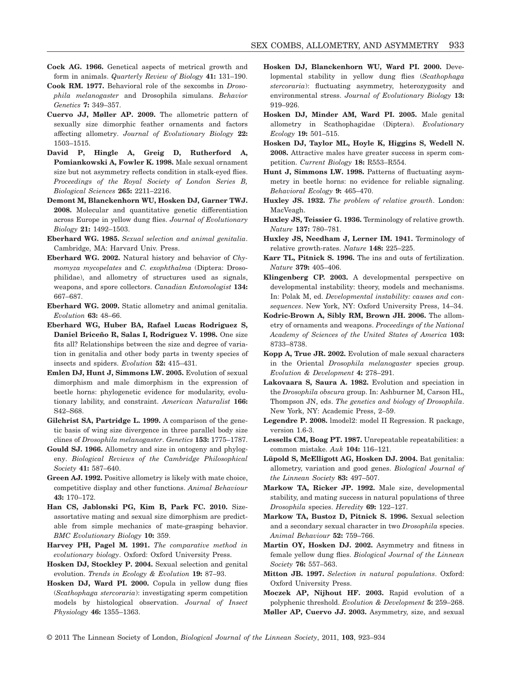- **Cock AG. 1966.** Genetical aspects of metrical growth and form in animals. *Quarterly Review of Biology* **41:** 131–190.
- **Cook RM. 1977.** Behavioral role of the sexcombs in *Drosophila melanogaster* and Drosophila simulans. *Behavior Genetics* **7:** 349–357.
- **Cuervo JJ, Møller AP. 2009.** The allometric pattern of sexually size dimorphic feather ornaments and factors affecting allometry. *Journal of Evolutionary Biology* **22:** 1503–1515.
- **David P, Hingle A, Greig D, Rutherford A, Pomiankowski A, Fowler K. 1998.** Male sexual ornament size but not asymmetry reflects condition in stalk-eyed flies. *Proceedings of the Royal Society of London Series B, Biological Sciences* **265:** 2211–2216.
- **Demont M, Blanckenhorn WU, Hosken DJ, Garner TWJ. 2008.** Molecular and quantitative genetic differentiation across Europe in yellow dung flies. *Journal of Evolutionary Biology* **21:** 1492–1503.
- **Eberhard WG. 1985.** *Sexual selection and animal genitalia*. Cambridge, MA: Harvard Univ. Press.
- **Eberhard WG. 2002.** Natural history and behavior of *Chymomyza mycopelates* and *C. exophthalma* (Diptera: Drosophilidae), and allometry of structures used as signals, weapons, and spore collectors. *Canadian Entomologist* **134:** 667–687.
- **Eberhard WG. 2009.** Static allometry and animal genitalia. *Evolution* **63:** 48–66.
- **Eberhard WG, Huber BA, Rafael Lucas Rodriguez S, Daniel Briceño R, Salas I, Rodriguez V. 1998.** One size fits all? Relationships between the size and degree of variation in genitalia and other body parts in twenty species of insects and spiders. *Evolution* **52:** 415–431.
- **Emlen DJ, Hunt J, Simmons LW. 2005.** Evolution of sexual dimorphism and male dimorphism in the expression of beetle horns: phylogenetic evidence for modularity, evolutionary lability, and constraint. *American Naturalist* **166:** S42–S68.
- **Gilchrist SA, Partridge L. 1999.** A comparison of the genetic basis of wing size divergence in three parallel body size clines of *Drosophila melanogaster*. *Genetics* **153:** 1775–1787.
- **Gould SJ. 1966.** Allometry and size in ontogeny and phylogeny. *Biological Reviews of the Cambridge Philosophical Society* **41:** 587–640.
- **Green AJ. 1992.** Positive allometry is likely with mate choice, competitive display and other functions. *Animal Behaviour* **43:** 170–172.
- **Han CS, Jablonski PG, Kim B, Park FC. 2010.** Sizeassortative mating and sexual size dimorphism are predictable from simple mechanics of mate-grasping behavior. *BMC Evolutionary Biology* **10:** 359.
- **Harvey PH, Pagel M. 1991.** *The comparative method in evolutionary biology*. Oxford: Oxford University Press.
- **Hosken DJ, Stockley P. 2004.** Sexual selection and genital evolution. *Trends in Ecology & Evolution* **19:** 87–93.
- **Hosken DJ, Ward PI. 2000.** Copula in yellow dung flies (*Scathophaga stercoraria*): investigating sperm competition models by histological observation. *Journal of Insect Physiology* **46:** 1355–1363.
- **Hosken DJ, Blanckenhorn WU, Ward PI. 2000.** Developmental stability in yellow dung flies (*Scathophaga stercoraria*): fluctuating asymmetry, heterozygosity and environmental stress. *Journal of Evolutionary Biology* **13:** 919–926.
- **Hosken DJ, Minder AM, Ward PI. 2005.** Male genital allometry in Scathophagidae (Diptera). *Evolutionary Ecology* **19:** 501–515.
- **Hosken DJ, Taylor ML, Hoyle K, Higgins S, Wedell N. 2008.** Attractive males have greater success in sperm competition. *Current Biology* **18:** R553–R554.
- **Hunt J, Simmons LW. 1998.** Patterns of fluctuating asymmetry in beetle horns: no evidence for reliable signaling. *Behavioral Ecology* **9:** 465–470.
- **Huxley JS. 1932.** *The problem of relative growth*. London: MacVeagh.
- **Huxley JS, Teissier G. 1936.** Terminology of relative growth. *Nature* **137:** 780–781.
- **Huxley JS, Needham J, Lerner IM. 1941.** Terminology of relative growth-rates. *Nature* **148:** 225–225.
- **Karr TL, Pitnick S. 1996.** The ins and outs of fertilization. *Nature* **379:** 405–406.
- **Klingenberg CP. 2003.** A developmental perspective on developmental instability: theory, models and mechanisms. In: Polak M, ed. *Developmental instability: causes and consequences*. New York, NY: Oxford University Press, 14–34.
- **Kodric-Brown A, Sibly RM, Brown JH. 2006.** The allometry of ornaments and weapons. *Proceedings of the National Academy of Sciences of the United States of America* **103:** 8733–8738.
- **Kopp A, True JR. 2002.** Evolution of male sexual characters in the Oriental *Drosophila melanogaster* species group. *Evolution & Development* **4:** 278–291.
- **Lakovaara S, Saura A. 1982.** Evolution and speciation in the *Drosophila obscura* group. In: Ashburner M, Carson HL, Thompson JN, eds. *The genetics and biology of Drosophila*. New York, NY: Academic Press, 2–59.
- **Legendre P. 2008.** lmodel2: model II Regression. R package, version 1.6-3.
- **Lessells CM, Boag PT. 1987.** Unrepeatable repeatabilities: a common mistake. *Auk* **104:** 116–121.
- **Lüpold S, McElligott AG, Hosken DJ. 2004.** Bat genitalia: allometry, variation and good genes. *Biological Journal of the Linnean Society* **83:** 497–507.
- **Markow TA, Ricker JP. 1992.** Male size, developmental stability, and mating success in natural populations of three *Drosophila* species. *Heredity* **69:** 122–127.
- **Markow TA, Bustoz D, Pitnick S. 1996.** Sexual selection and a secondary sexual character in two *Drosophila* species. *Animal Behaviour* **52:** 759–766.
- **Martin OY, Hosken DJ. 2002.** Asymmetry and fitness in female yellow dung flies. *Biological Journal of the Linnean Society* **76:** 557–563.
- **Mitton JB. 1997.** *Selection in natural populations*. Oxford: Oxford University Press.

**Moczek AP, Nijhout HF. 2003.** Rapid evolution of a polyphenic threshold. *Evolution & Development* **5:** 259–268. **Møller AP, Cuervo JJ. 2003.** Asymmetry, size, and sexual